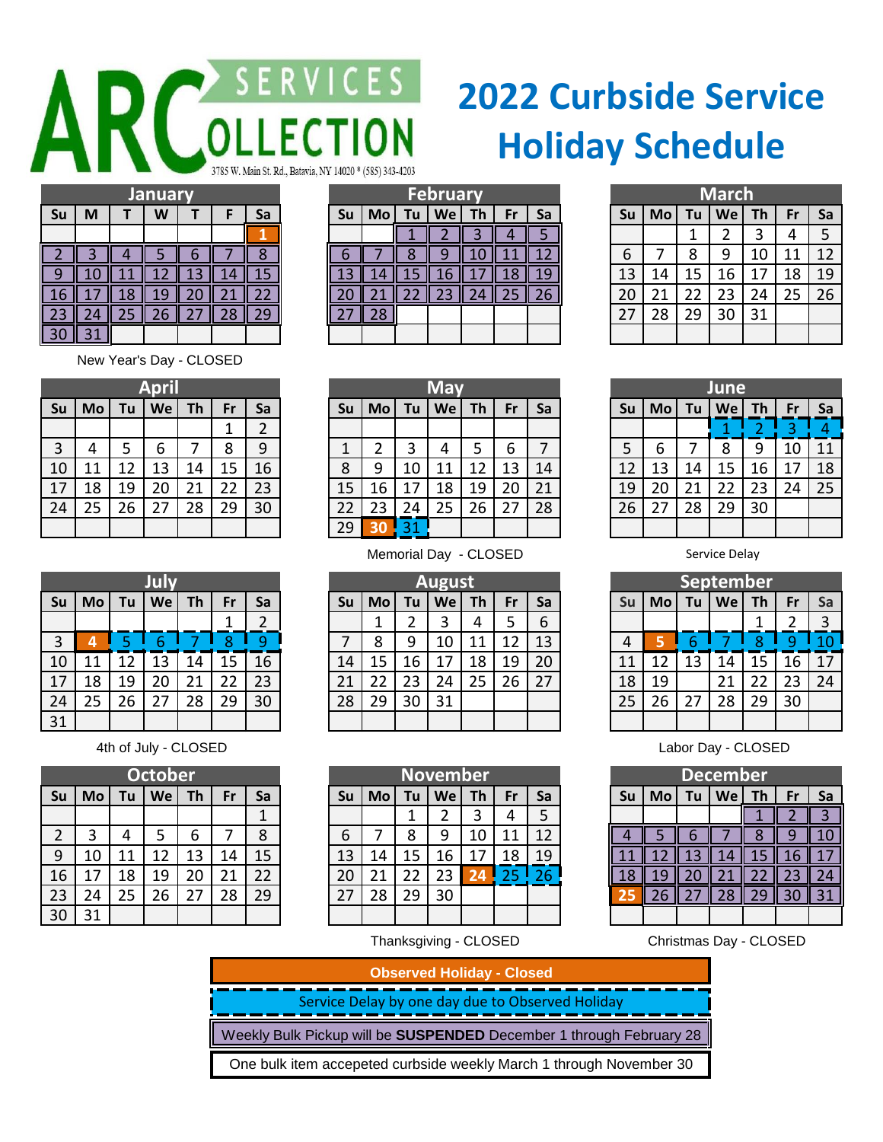## AR COLLECTI CES I 785 W. Main St. Rd., Batavia, NY 14020 \* (585) 343-4203 **February**

## **2022 Curbside Service Holiday Schedule**

|                 |   |    | <b>January</b> |  |    | February  |    |    |     |    |    |                 | <b>March</b> |    |    |           |    |    |     |
|-----------------|---|----|----------------|--|----|-----------|----|----|-----|----|----|-----------------|--------------|----|----|-----------|----|----|-----|
| <b>Su</b>       | M |    | W              |  | Sa | <b>Su</b> | Mo | Tu | We  | Th | Fr | Sa              | Su           | Mo | Tu | <b>We</b> | Th |    | -Sa |
|                 |   |    |                |  |    |           |    |    |     |    |    |                 |              |    |    |           |    |    |     |
|                 |   |    |                |  |    |           |    |    |     | LU |    |                 | 6            |    |    | q         | 10 |    | 12  |
|                 |   |    |                |  |    |           |    |    | l 6 |    |    |                 | 13           | 14 | 15 | 16        |    | 18 | 19  |
|                 |   | 18 |                |  |    |           |    |    |     | 74 |    | 26 <sub>l</sub> | 20           | 21 | 22 | 23        | 24 | 25 | 26  |
|                 |   | 25 |                |  |    |           |    |    |     |    |    |                 | 27           | 28 | 29 | 30        | 31 |    |     |
| 30 <sup>2</sup> |   |    |                |  |    |           |    |    |     |    |    |                 |              |    |    |           |    |    |     |

New Year's Day - CLOSED

| <b>April</b> |           |    |    |           |    |                |  |  |  |  |  |  |
|--------------|-----------|----|----|-----------|----|----------------|--|--|--|--|--|--|
| Su           | <b>Mo</b> | Tu | We | <b>Th</b> | Fr | Sa             |  |  |  |  |  |  |
|              |           |    |    |           | 1  | $\overline{2}$ |  |  |  |  |  |  |
| 3            | 4         | 5  | 6  |           | 8  | 9              |  |  |  |  |  |  |
| 10           | 11        | 12 | 13 | 14        | 15 | 16             |  |  |  |  |  |  |
| 17           | 18        | 19 | 20 | 21        | 22 | 23             |  |  |  |  |  |  |
| 24           | 25        | 26 | 27 | 28        | 29 | 30             |  |  |  |  |  |  |
|              |           |    |    |           |    |                |  |  |  |  |  |  |

| New Years Day - CLOSED |  |  |
|------------------------|--|--|
|                        |  |  |

|    | April     |    |    |    |           | May |    |    |    |    |    | June      |    |           |    |    |    |    |    |     |
|----|-----------|----|----|----|-----------|-----|----|----|----|----|----|-----------|----|-----------|----|----|----|----|----|-----|
| Su | <b>Mo</b> | Tu | We | Th | <b>Fr</b> | Sa  | Su | Mo | Tu | We | Th | <b>Fr</b> | Sa | <b>Su</b> | Mo | Tu | We | Τh |    | -Sa |
|    |           |    |    |    |           | 2   |    |    |    |    |    |           |    |           |    |    |    |    |    |     |
| 3  |           |    | 6  |    | 8         | 9   |    |    |    |    |    |           |    |           | 6  |    | 8  | 9  | 10 | 11  |
| 10 | 11        |    | 13 | 14 | 15        | 16  | 8  | a  | 10 |    | 12 | 13        | 14 | 12        | 13 | 14 | 15 | 16 |    | 18  |
| 17 | 18        | 19 | 20 |    | 22        | 23  | 15 | 16 | 17 | 18 | 19 | 20        | 21 | 19        | 20 |    | 22 | 23 | 24 | 25  |
| 24 | 25        | 26 | 27 | 28 | 29        | 30  | 22 | 23 | 24 | 25 | 26 | 27        | 28 | 26        | 27 | 28 | 29 | 30 |    |     |
|    |           |    |    |    |           |     | 29 |    | 31 |    |    |           |    |           |    |    |    |    |    |     |

|    |    |    | July |    |    |    | <b>August</b> |    |    |    |    |    |    | <b>September</b> |    |    |    |     |    |           |
|----|----|----|------|----|----|----|---------------|----|----|----|----|----|----|------------------|----|----|----|-----|----|-----------|
| Su | Mo | Tu | We   | Th | Fr | Sa | Su            | Mo | Tu | We | Th | Fr | Sa | Su               | Mo | Tu | We | Th. | Fr | <b>Sa</b> |
|    |    |    |      |    |    |    |               |    |    |    |    |    | b  |                  |    |    |    |     |    | 3         |
| 3  |    |    |      |    | Զ  | a  | ⇁             | O  | q  | 10 |    | 12 | 13 |                  |    |    |    |     |    | 10        |
| 10 | 11 |    | 13   | 14 | 15 | 16 | 14            | 15 | 16 |    | 18 | 19 | 20 | 11               | 12 | 13 | 14 | 15  | 16 | 17        |
| 17 | 18 | 19 | 20   |    | 22 | 23 | 21            |    | 23 | 24 | 25 | 26 | 27 | 18               | 19 |    | 21 | 22  | 23 | 24        |
| 24 | 25 | 26 | 27   | 28 | 29 | 30 | 28            | 29 | 30 | 31 |    |    |    | 25               | 26 |    | 28 | 29  | 30 |           |
| 31 |    |    |      |    |    |    |               |    |    |    |    |    |    |                  |    |    |    |     |    |           |

|                |           |    | <b>October</b> |    |           |    | <b>November</b> |    |     |           |           |    |    |    |     |    | December |     |    |           |
|----------------|-----------|----|----------------|----|-----------|----|-----------------|----|-----|-----------|-----------|----|----|----|-----|----|----------|-----|----|-----------|
| Su             | <b>Mo</b> | Tu | We             | Th | <b>Fr</b> | Sa | Su              | Mo | Tu. | <b>We</b> | <b>Th</b> | ۲r | Sa | Su | Mo  | Tu | We       | Th. | Fr | <b>Sa</b> |
|                |           |    |                |    |           |    |                 |    | ᅩ   |           |           |    |    |    |     |    |          |     |    |           |
| $\overline{2}$ |           |    |                | b  |           | 8  | 6               |    | 8   | 9         | 10        | 11 |    |    |     |    |          |     |    | 10        |
| 9              | 10        |    | 12             | 13 | 14        | 15 | 13              | 14 | 15  | 16        |           | 18 | 19 |    |     | B  | 14       |     | 16 |           |
| 16             | 17        | 18 | 19             | 20 | 21        | 22 | 20              |    | 22  | 23        |           | ר  | 26 |    | 19  | ΖU |          |     |    | 24        |
| 23             | 24        | 25 | 26             | 27 | 28        | 29 | 27              | 28 | 29  | 30        |           |    |    |    | -26 |    | 28       | 29  | 30 | 31        |
| 30             | 31        |    |                |    |           |    |                 |    |     |           |           |    |    |    |     |    |          |     |    |           |

**June**

| <b>September</b> |    |    |    |           |    |    |  |  |  |  |  |
|------------------|----|----|----|-----------|----|----|--|--|--|--|--|
| Su               | Mo | Tu | We | <b>Th</b> | Fr | Sa |  |  |  |  |  |
|                  |    |    |    |           | 2  | 3  |  |  |  |  |  |
| 4                | 5  | 6  |    |           |    |    |  |  |  |  |  |
| 11               | 12 | 13 | 14 | 15        | 16 | 17 |  |  |  |  |  |
| 18               | 19 |    | 21 | 22        | 23 | 24 |  |  |  |  |  |
| 25               | 26 | 27 | 28 | 29        | 30 |    |  |  |  |  |  |
|                  |    |    |    |           |    |    |  |  |  |  |  |

Ath of July - CLOSED **Labor Day - CLOSED** 

|                                        | <b>December</b> |    |    |    |  |    |  |  |  |  |  |  |  |
|----------------------------------------|-----------------|----|----|----|--|----|--|--|--|--|--|--|--|
| Su<br>Mo<br>We<br>Tu<br>Th<br>Sa<br>Fr |                 |    |    |    |  |    |  |  |  |  |  |  |  |
|                                        |                 |    |    |    |  | ٦  |  |  |  |  |  |  |  |
| 4                                      | 5               | 6  |    | 8  |  |    |  |  |  |  |  |  |  |
| 11                                     | 12              | 13 | 4  | 15 |  |    |  |  |  |  |  |  |  |
| 18                                     |                 |    |    | 22 |  | 24 |  |  |  |  |  |  |  |
| 25                                     | 26              | 27 | 28 |    |  |    |  |  |  |  |  |  |  |
|                                        |                 |    |    |    |  |    |  |  |  |  |  |  |  |

Christmas Day - CLOSED

| <b>Observed Holiday - Closed</b>                                    |
|---------------------------------------------------------------------|
| Service Delay by one day due to Observed Holiday                    |
| Weekly Bulk Pickup will be SUSPENDED December 1 through February 28 |
| One bulk item accepeted curbside weekly March 1 through November 30 |

|  |  | $AB = AB + AB$ $CD = AD$ |
|--|--|--------------------------|

31

|                | <b>October</b> |    |    |           |    |    |  |  |  |  |  |  |
|----------------|----------------|----|----|-----------|----|----|--|--|--|--|--|--|
| Su             | Mo             | Tu | We | <b>Th</b> | Fr | Sa |  |  |  |  |  |  |
|                |                |    |    |           |    | 1  |  |  |  |  |  |  |
| $\overline{2}$ | 3              | 4  | 5  | 6         | 7  | 8  |  |  |  |  |  |  |
| 9              | 10             | 11 | 12 | 13        | 14 | 15 |  |  |  |  |  |  |
| 16             | 17             | 18 | 19 | 20        | 21 | 22 |  |  |  |  |  |  |
| 23             | 24             | 25 | 26 | 27        | 28 | 29 |  |  |  |  |  |  |
| 30             | 31             |    |    |           |    |    |  |  |  |  |  |  |

Thanksgiving - CLOSED

Memorial Day - CLOSED Service Delay

|                | <b>May</b>          |  |    |
|----------------|---------------------|--|----|
| M <sub>o</sub> | $Tu$   We   Th   Fr |  | ς, |
|                |                     |  |    |
|                |                     |  |    |